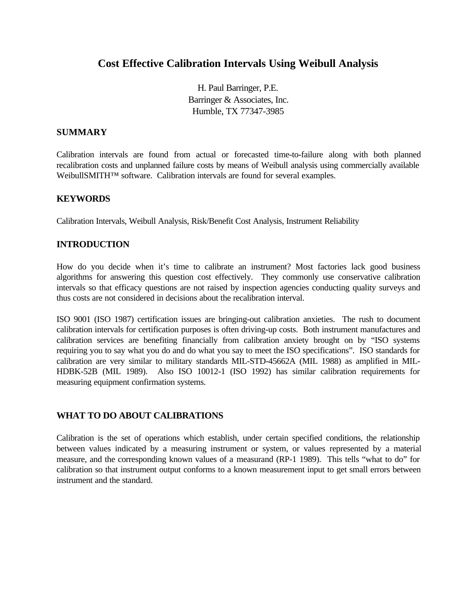# **Cost Effective Calibration Intervals Using Weibull Analysis**

H. Paul Barringer, P.E. Barringer & Associates, Inc. Humble, TX 77347-3985

#### **SUMMARY**

Calibration intervals are found from actual or forecasted time-to-failure along with both planned recalibration costs and unplanned failure costs by means of Weibull analysis using commercially available WeibullSMITH<sup>™</sup> software. Calibration intervals are found for several examples.

### **KEYWORDS**

Calibration Intervals, Weibull Analysis, Risk/Benefit Cost Analysis, Instrument Reliability

### **INTRODUCTION**

How do you decide when it's time to calibrate an instrument? Most factories lack good business algorithms for answering this question cost effectively. They commonly use conservative calibration intervals so that efficacy questions are not raised by inspection agencies conducting quality surveys and thus costs are not considered in decisions about the recalibration interval.

ISO 9001 (ISO 1987) certification issues are bringing-out calibration anxieties. The rush to document calibration intervals for certification purposes is often driving-up costs. Both instrument manufactures and calibration services are benefiting financially from calibration anxiety brought on by "ISO systems requiring you to say what you do and do what you say to meet the ISO specifications". ISO standards for calibration are very similar to military standards MIL-STD-45662A (MIL 1988) as amplified in MIL-HDBK-52B (MIL 1989). Also ISO 10012-1 (ISO 1992) has similar calibration requirements for measuring equipment confirmation systems.

### **WHAT TO DO ABOUT CALIBRATIONS**

Calibration is the set of operations which establish, under certain specified conditions, the relationship between values indicated by a measuring instrument or system, or values represented by a material measure, and the corresponding known values of a measurand (RP-1 1989). This tells "what to do" for calibration so that instrument output conforms to a known measurement input to get small errors between instrument and the standard.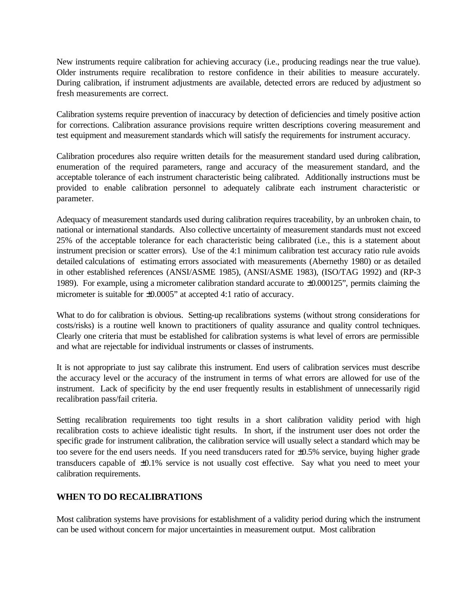New instruments require calibration for achieving accuracy (i.e., producing readings near the true value). Older instruments require recalibration to restore confidence in their abilities to measure accurately. During calibration, if instrument adjustments are available, detected errors are reduced by adjustment so fresh measurements are correct.

Calibration systems require prevention of inaccuracy by detection of deficiencies and timely positive action for corrections. Calibration assurance provisions require written descriptions covering measurement and test equipment and measurement standards which will satisfy the requirements for instrument accuracy.

Calibration procedures also require written details for the measurement standard used during calibration, enumeration of the required parameters, range and accuracy of the measurement standard, and the acceptable tolerance of each instrument characteristic being calibrated. Additionally instructions must be provided to enable calibration personnel to adequately calibrate each instrument characteristic or parameter.

Adequacy of measurement standards used during calibration requires traceability, by an unbroken chain, to national or international standards. Also collective uncertainty of measurement standards must not exceed 25% of the acceptable tolerance for each characteristic being calibrated (i.e., this is a statement about instrument precision or scatter errors). Use of the 4:1 minimum calibration test accuracy ratio rule avoids detailed calculations of estimating errors associated with measurements (Abernethy 1980) or as detailed in other established references (ANSI/ASME 1985), (ANSI/ASME 1983), (ISO/TAG 1992) and (RP-3 1989). For example, using a micrometer calibration standard accurate to ±0.000125", permits claiming the micrometer is suitable for  $\pm 0.0005$ " at accepted 4:1 ratio of accuracy.

What to do for calibration is obvious. Setting-up recalibrations systems (without strong considerations for costs/risks) is a routine well known to practitioners of quality assurance and quality control techniques. Clearly one criteria that must be established for calibration systems is what level of errors are permissible and what are rejectable for individual instruments or classes of instruments.

It is not appropriate to just say calibrate this instrument. End users of calibration services must describe the accuracy level or the accuracy of the instrument in terms of what errors are allowed for use of the instrument. Lack of specificity by the end user frequently results in establishment of unnecessarily rigid recalibration pass/fail criteria.

Setting recalibration requirements too tight results in a short calibration validity period with high recalibration costs to achieve idealistic tight results. In short, if the instrument user does not order the specific grade for instrument calibration, the calibration service will usually select a standard which may be too severe for the end users needs. If you need transducers rated for ±0.5% service, buying higher grade transducers capable of ±0.1% service is not usually cost effective. Say what you need to meet your calibration requirements.

### **WHEN TO DO RECALIBRATIONS**

Most calibration systems have provisions for establishment of a validity period during which the instrument can be used without concern for major uncertainties in measurement output. Most calibration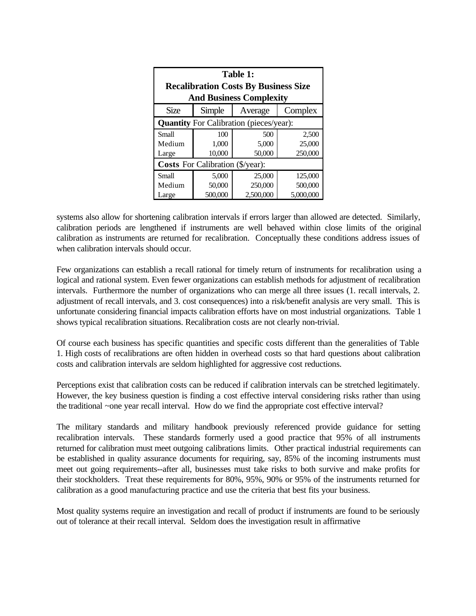| <b>Table 1:</b><br><b>Recalibration Costs By Business Size</b> |         |           |           |  |  |  |  |
|----------------------------------------------------------------|---------|-----------|-----------|--|--|--|--|
| <b>And Business Complexity</b>                                 |         |           |           |  |  |  |  |
| Size                                                           | Simple  | Average   | Complex   |  |  |  |  |
| <b>Quantity</b> For Calibration (pieces/year):                 |         |           |           |  |  |  |  |
| Small                                                          | 100     | 500       | 2,500     |  |  |  |  |
| Medium                                                         | 1,000   | 5,000     | 25,000    |  |  |  |  |
| Large                                                          | 10,000  | 50,000    | 250,000   |  |  |  |  |
| <b>Costs</b> For Calibration (\$/year):                        |         |           |           |  |  |  |  |
| Small                                                          | 5,000   | 25,000    | 125,000   |  |  |  |  |
| Medium                                                         | 50,000  | 250,000   | 500,000   |  |  |  |  |
| Large                                                          | 500,000 | 2,500,000 | 5,000,000 |  |  |  |  |

systems also allow for shortening calibration intervals if errors larger than allowed are detected. Similarly, calibration periods are lengthened if instruments are well behaved within close limits of the original calibration as instruments are returned for recalibration. Conceptually these conditions address issues of when calibration intervals should occur.

Few organizations can establish a recall rational for timely return of instruments for recalibration using a logical and rational system. Even fewer organizations can establish methods for adjustment of recalibration intervals. Furthermore the number of organizations who can merge all three issues (1. recall intervals, 2. adjustment of recall intervals, and 3. cost consequences) into a risk/benefit analysis are very small. This is unfortunate considering financial impacts calibration efforts have on most industrial organizations. Table 1 shows typical recalibration situations. Recalibration costs are not clearly non-trivial.

Of course each business has specific quantities and specific costs different than the generalities of Table 1. High costs of recalibrations are often hidden in overhead costs so that hard questions about calibration costs and calibration intervals are seldom highlighted for aggressive cost reductions.

Perceptions exist that calibration costs can be reduced if calibration intervals can be stretched legitimately. However, the key business question is finding a cost effective interval considering risks rather than using the traditional ~one year recall interval. How do we find the appropriate cost effective interval?

The military standards and military handbook previously referenced provide guidance for setting recalibration intervals. These standards formerly used a good practice that 95% of all instruments returned for calibration must meet outgoing calibrations limits. Other practical industrial requirements can be established in quality assurance documents for requiring, say, 85% of the incoming instruments must meet out going requirements--after all, businesses must take risks to both survive and make profits for their stockholders. Treat these requirements for 80%, 95%, 90% or 95% of the instruments returned for calibration as a good manufacturing practice and use the criteria that best fits your business.

Most quality systems require an investigation and recall of product if instruments are found to be seriously out of tolerance at their recall interval. Seldom does the investigation result in affirmative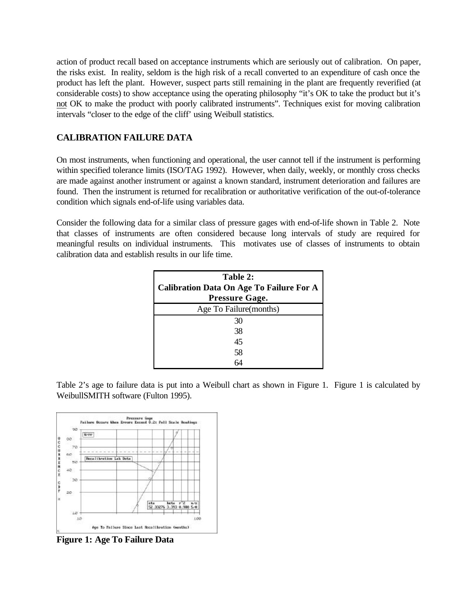action of product recall based on acceptance instruments which are seriously out of calibration. On paper, the risks exist. In reality, seldom is the high risk of a recall converted to an expenditure of cash once the product has left the plant. However, suspect parts still remaining in the plant are frequently reverified (at considerable costs) to show acceptance using the operating philosophy "it's OK to take the product but it's not OK to make the product with poorly calibrated instruments". Techniques exist for moving calibration intervals "closer to the edge of the cliff' using Weibull statistics.

### **CALIBRATION FAILURE DATA**

On most instruments, when functioning and operational, the user cannot tell if the instrument is performing within specified tolerance limits (ISO/TAG 1992). However, when daily, weekly, or monthly cross checks are made against another instrument or against a known standard, instrument deterioration and failures are found. Then the instrument is returned for recalibration or authoritative verification of the out-of-tolerance condition which signals end-of-life using variables data.

Consider the following data for a similar class of pressure gages with end-of-life shown in Table 2. Note that classes of instruments are often considered because long intervals of study are required for meaningful results on individual instruments. This motivates use of classes of instruments to obtain calibration data and establish results in our life time.

| Table 2:<br><b>Calibration Data On Age To Failure For A</b><br><b>Pressure Gage.</b> |  |  |  |  |  |  |
|--------------------------------------------------------------------------------------|--|--|--|--|--|--|
| Age To Failure(months)                                                               |  |  |  |  |  |  |
| 30                                                                                   |  |  |  |  |  |  |
| 38                                                                                   |  |  |  |  |  |  |
| 45                                                                                   |  |  |  |  |  |  |
| 58                                                                                   |  |  |  |  |  |  |
|                                                                                      |  |  |  |  |  |  |

Table 2's age to failure data is put into a Weibull chart as shown in Figure 1. Figure 1 is calculated by WeibullSMITH software (Fulton 1995).



**Figure 1: Age To Failure Data**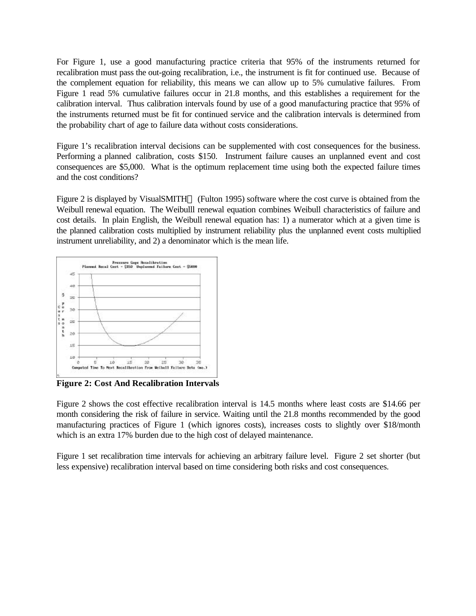For Figure 1, use a good manufacturing practice criteria that 95% of the instruments returned for recalibration must pass the out-going recalibration, i.e., the instrument is fit for continued use. Because of the complement equation for reliability, this means we can allow up to 5% cumulative failures. From Figure 1 read 5% cumulative failures occur in 21.8 months, and this establishes a requirement for the calibration interval. Thus calibration intervals found by use of a good manufacturing practice that 95% of the instruments returned must be fit for continued service and the calibration intervals is determined from the probability chart of age to failure data without costs considerations.

Figure 1's recalibration interval decisions can be supplemented with cost consequences for the business. Performing a planned calibration, costs \$150. Instrument failure causes an unplanned event and cost consequences are \$5,000. What is the optimum replacement time using both the expected failure times and the cost conditions?

Figure 2 is displayed by VisualSMITH<sup> $M$ </sup> (Fulton 1995) software where the cost curve is obtained from the Weibull renewal equation. The Weibulll renewal equation combines Weibull characteristics of failure and cost details. In plain English, the Weibull renewal equation has: 1) a numerator which at a given time is the planned calibration costs multiplied by instrument reliability plus the unplanned event costs multiplied instrument unreliability, and 2) a denominator which is the mean life.



**Figure 2: Cost And Recalibration Intervals**

Figure 2 shows the cost effective recalibration interval is 14.5 months where least costs are \$14.66 per month considering the risk of failure in service. Waiting until the 21.8 months recommended by the good manufacturing practices of Figure 1 (which ignores costs), increases costs to slightly over \$18/month which is an extra 17% burden due to the high cost of delayed maintenance.

Figure 1 set recalibration time intervals for achieving an arbitrary failure level. Figure 2 set shorter (but less expensive) recalibration interval based on time considering both risks and cost consequences.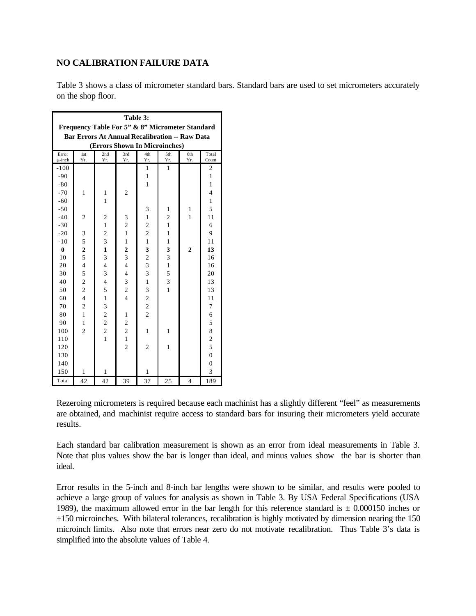#### **NO CALIBRATION FAILURE DATA**

Table 3 shows a class of micrometer standard bars. Standard bars are used to set micrometers accurately on the shop floor.

| Table 3:                                              |                          |                         |                                  |                         |                |                |                         |
|-------------------------------------------------------|--------------------------|-------------------------|----------------------------------|-------------------------|----------------|----------------|-------------------------|
| Frequency Table For 5" & 8" Micrometer Standard       |                          |                         |                                  |                         |                |                |                         |
| <b>Bar Errors At Annual Recalibration -- Raw Data</b> |                          |                         |                                  |                         |                |                |                         |
| (Errors Shown In Microinches)                         |                          |                         |                                  |                         |                |                |                         |
| Error                                                 | 1st                      | 2nd                     | 3rd                              | 4th                     | 5th            | 6th            | Total                   |
| u-inch                                                | Yr.                      | Yr.                     | Yr.                              | Yr.                     | Yr.            | Yr.            | Count                   |
| $-100$                                                |                          |                         |                                  | 1                       | 1              |                | 2                       |
| $-90$                                                 |                          |                         |                                  | $\mathbf{1}$            |                |                | $\mathbf{1}$            |
| $-80$                                                 |                          |                         |                                  | 1                       |                |                | $\mathbf{1}$            |
| $-70$                                                 | $\mathbf{1}$             | 1                       | $\overline{c}$                   |                         |                |                | $\overline{\mathbf{4}}$ |
| $-60$                                                 |                          | 1                       |                                  |                         |                |                | $\mathbf{1}$            |
| $-50$                                                 |                          |                         |                                  | 3                       | 1              | 1              | 5                       |
| $-40$                                                 | $\overline{2}$           | $\overline{c}$          | 3                                | $\mathbf{1}$            | $\overline{c}$ | 1              | 11                      |
| $-30$                                                 |                          | $\mathbf{1}$            | $\overline{\mathbf{c}}$          | $\overline{\mathbf{c}}$ | $\mathbf{1}$   |                | 6                       |
| $-20$                                                 | 3                        | $\overline{\mathbf{c}}$ | $\mathbf{1}$                     | $\overline{\mathbf{c}}$ | $\mathbf{1}$   |                | 9                       |
| $-10$                                                 | 5                        | $\overline{\mathbf{3}}$ | $\mathbf{1}$                     | $\mathbf{1}$            | $\mathbf{1}$   |                | 11                      |
| $\bf{0}$                                              | $rac{2}{5}$              | $\mathbf{1}$            | $\overline{2}$                   | 3                       | 3              | $\overline{2}$ | 13                      |
| 10                                                    |                          | $\overline{\mathbf{3}}$ | $\overline{\mathbf{3}}$          | $\overline{c}$          | 3              |                | 16                      |
| 20                                                    | $\overline{\mathcal{L}}$ | $\overline{\mathbf{4}}$ | $\overline{\mathcal{L}}$         | $\overline{3}$          | $\mathbf{1}$   |                | 16                      |
| 30                                                    | 5                        | 3                       | $\overline{\mathcal{L}}$         | 3                       | 5              |                | 20                      |
| 40                                                    | $\overline{c}$           | $\overline{4}$          | 3                                | $\mathbf{1}$            | 3              |                | 13                      |
| 50                                                    | $\overline{c}$           | 5                       | $\overline{c}$<br>$\overline{4}$ | 3                       | $\overline{1}$ |                | 13                      |
| 60                                                    | $\overline{4}$           | $\mathbf{1}$            |                                  | $\frac{2}{2}$           |                |                | 11                      |
| 70                                                    | $\overline{c}$           | 3                       |                                  |                         |                |                | 7                       |
| 80                                                    | $\mathbf{1}$             | $\overline{c}$          | 1                                | $\overline{c}$          |                |                | 6                       |
| 90                                                    | $\mathbf{1}$             | $\overline{c}$          | $\overline{\mathbf{c}}$          |                         |                |                | 5                       |
| 100                                                   | $\overline{2}$           | $\overline{c}$          | $\overline{\mathbf{c}}$          | $\mathbf{1}$            | $\mathbf{1}$   |                | 8                       |
| 110                                                   |                          | $\overline{1}$          | $\mathbf{1}$                     |                         |                |                | $\overline{\mathbf{c}}$ |
| 120                                                   |                          |                         | $\overline{2}$                   | $\overline{c}$          | $\mathbf{1}$   |                | 5                       |
| 130                                                   |                          |                         |                                  |                         |                |                | $\overline{0}$          |
| 140                                                   |                          |                         |                                  |                         |                |                | $\overline{0}$          |
| 150                                                   | 1                        | 1                       |                                  | 1                       |                |                | 3                       |
| Total                                                 | 42                       | 42                      | 39                               | 37                      | 25             | 4              | 189                     |

Rezeroing micrometers is required because each machinist has a slightly different "feel" as measurements are obtained, and machinist require access to standard bars for insuring their micrometers yield accurate results.

Each standard bar calibration measurement is shown as an error from ideal measurements in Table 3. Note that plus values show the bar is longer than ideal, and minus values show the bar is shorter than ideal.

Error results in the 5-inch and 8-inch bar lengths were shown to be similar, and results were pooled to achieve a large group of values for analysis as shown in Table 3. By USA Federal Specifications (USA 1989), the maximum allowed error in the bar length for this reference standard is  $\pm$  0.000150 inches or ±150 microinches. With bilateral tolerances, recalibration is highly motivated by dimension nearing the 150 microinch limits. Also note that errors near zero do not motivate recalibration. Thus Table 3's data is simplified into the absolute values of Table 4.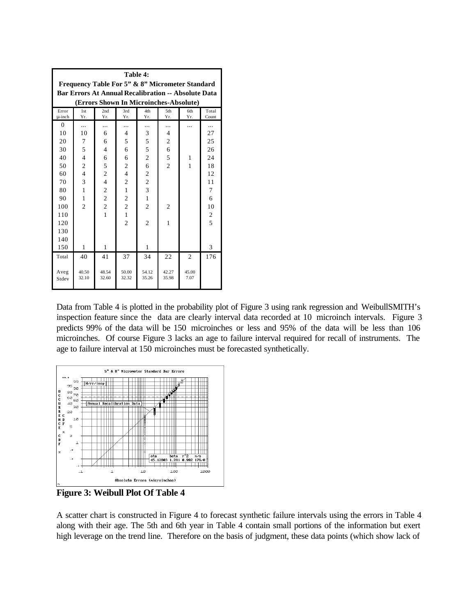| Table 4:<br>Frequency Table For 5" & 8" Micrometer Standard |                |                         |                         |                         |                |                |                         |  |
|-------------------------------------------------------------|----------------|-------------------------|-------------------------|-------------------------|----------------|----------------|-------------------------|--|
| <b>Bar Errors At Annual Recalibration -- Absolute Data</b>  |                |                         |                         |                         |                |                |                         |  |
| (Errors Shown In Microinches-Absolute)                      |                |                         |                         |                         |                |                |                         |  |
| 2nd<br>3rd<br>4th<br>Total<br>Error<br>1st<br>5th<br>6th    |                |                         |                         |                         |                |                |                         |  |
| u-inch                                                      | Yr.            | Yr.                     | Yr.                     | Yr.                     | Yr.            | Yr.            | Count                   |  |
| $\overline{0}$                                              | .              |                         | .                       |                         | .              | .              |                         |  |
| 10                                                          | 10             | 6                       | 4                       | 3                       | 4              |                | 27                      |  |
| 20                                                          | 7              | 6                       | 5                       | 5                       | $\mathfrak{2}$ |                | 25                      |  |
| 30                                                          | 5              | $\overline{4}$          | 6                       | 5                       | 6              |                | 26                      |  |
| 40                                                          | $\overline{4}$ | 6                       | 6                       | $\overline{c}$          | 5              | 1              | 24                      |  |
| 50                                                          | $\overline{c}$ | 5                       | $\overline{c}$          | 6                       | $\overline{c}$ | 1              | 18                      |  |
| 60                                                          | $\overline{4}$ | $\overline{\mathbf{c}}$ | $\overline{4}$          |                         |                |                | 12                      |  |
| 70                                                          | 3              | $\overline{4}$          | $\overline{c}$          | $\frac{2}{2}$           |                |                | 11                      |  |
| 80                                                          | $\mathbf{1}$   | $\overline{\mathbf{c}}$ | $\mathbf{1}$            | $\overline{\mathbf{3}}$ |                |                | $\overline{7}$          |  |
| 90                                                          | 1              | $\overline{c}$          | $\overline{\mathbf{c}}$ | $\mathbf{1}$            |                |                | 6                       |  |
| 100                                                         | $\overline{2}$ | $\overline{c}$          | $\overline{c}$          | $\overline{2}$          | $\overline{2}$ |                | 10                      |  |
| 110                                                         |                | $\mathbf{1}$            | $\mathbf{1}$            |                         |                |                | $\overline{\mathbf{c}}$ |  |
| 120                                                         |                |                         | $\overline{c}$          | $\overline{2}$          | 1              |                | 5                       |  |
| 130                                                         |                |                         |                         |                         |                |                |                         |  |
| 140                                                         |                |                         |                         |                         |                |                |                         |  |
| 150                                                         | 1              | 1                       |                         | 1                       |                |                | 3                       |  |
| Total                                                       | 40             | 41                      | 37                      | 34                      | 22             | $\overline{2}$ | 176                     |  |
| Aveg<br>Stdev                                               | 40.50<br>32.10 | 48.54<br>32.60          | 50.00<br>32.32          | 54.12<br>35.26          | 42.27<br>35.98 | 45.00<br>7.07  |                         |  |

Data from Table 4 is plotted in the probability plot of Figure 3 using rank regression and WeibullSMITH's inspection feature since the data are clearly interval data recorded at 10 microinch intervals. Figure 3 predicts 99% of the data will be 150 microinches or less and 95% of the data will be less than 106 microinches. Of course Figure 3 lacks an age to failure interval required for recall of instruments. The age to failure interval at 150 microinches must be forecasted synthetically.



**Figure 3: Weibull Plot Of Table 4**

A scatter chart is constructed in Figure 4 to forecast synthetic failure intervals using the errors in Table 4 along with their age. The 5th and 6th year in Table 4 contain small portions of the information but exert high leverage on the trend line. Therefore on the basis of judgment, these data points (which show lack of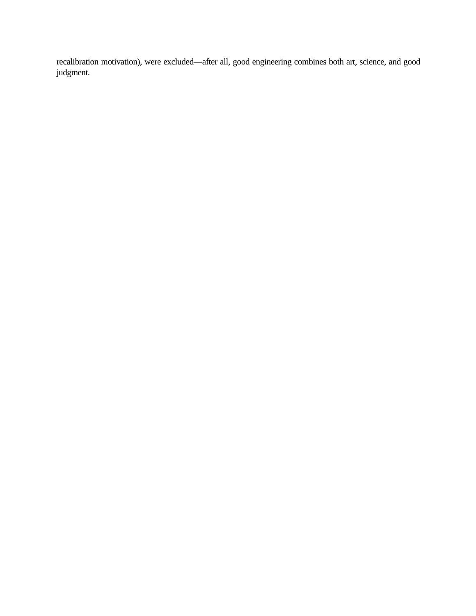recalibration motivation), were excluded—after all, good engineering combines both art, science, and good judgment.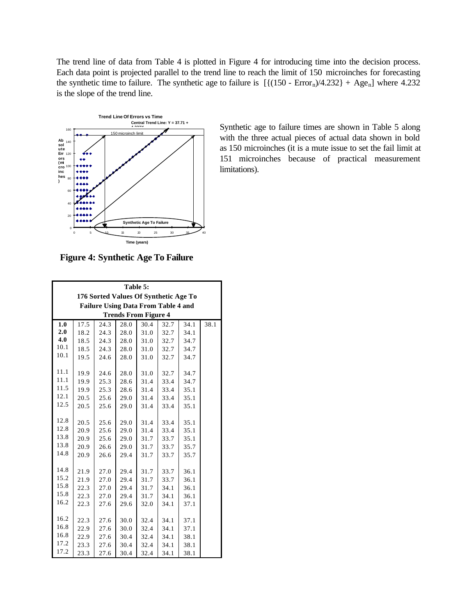The trend line of data from Table 4 is plotted in Figure 4 for introducing time into the decision process. Each data point is projected parallel to the trend line to reach the limit of 150 microinches for forecasting the synthetic time to failure. The synthetic age to failure is  $[{(150 - Error<sub>n</sub>)/4.232} + Age<sub>n</sub>]$  where 4.232 is the slope of the trend line.



Synthetic age to failure times are shown in Table 5 along with the three actual pieces of actual data shown in bold as 150 microinches (it is a mute issue to set the fail limit at 151 microinches because of practical measurement limitations).

**Figure 4: Synthetic Age To Failure**

| Table 5:                                   |      |      |      |      |      |      |      |  |
|--------------------------------------------|------|------|------|------|------|------|------|--|
| 176 Sorted Values Of Synthetic Age To      |      |      |      |      |      |      |      |  |
| <b>Failure Using Data From Table 4 and</b> |      |      |      |      |      |      |      |  |
| <b>Trends From Figure 4</b>                |      |      |      |      |      |      |      |  |
| 1.0                                        | 17.5 | 24.3 | 28.0 | 30.4 | 32.7 | 34.1 | 38.1 |  |
| 2.0                                        | 18.2 | 24.3 | 28.0 | 31.0 | 32.7 | 34.1 |      |  |
| 4.0                                        | 18.5 | 24.3 | 28.0 | 31.0 | 32.7 | 34.7 |      |  |
| 10.1                                       | 18.5 | 24.3 | 28.0 | 31.0 | 32.7 | 34.7 |      |  |
| 10.1                                       | 19.5 | 24.6 | 28.0 | 31.0 | 32.7 | 34.7 |      |  |
|                                            |      |      |      |      |      |      |      |  |
| 11.1                                       | 19.9 | 24.6 | 28.0 | 31.0 | 32.7 | 34.7 |      |  |
| 11.1                                       | 19.9 | 25.3 | 28.6 | 31.4 | 33.4 | 34.7 |      |  |
| 11.5                                       | 19.9 | 25.3 | 28.6 | 31.4 | 33.4 | 35.1 |      |  |
| 12.1                                       | 20.5 | 25.6 | 29.0 | 31.4 | 33.4 | 35.1 |      |  |
| 12.5                                       | 20.5 | 25.6 | 29.0 | 31.4 | 33.4 | 35.1 |      |  |
|                                            |      |      |      |      |      |      |      |  |
| 12.8                                       | 20.5 | 25.6 | 29.0 | 31.4 | 33.4 | 35.1 |      |  |
| 12.8                                       | 20.9 | 25.6 | 29.0 | 31.4 | 33.4 | 35.1 |      |  |
| 13.8                                       | 20.9 | 25.6 | 29.0 | 31.7 | 33.7 | 35.1 |      |  |
| 13.8                                       | 20.9 | 26.6 | 29.0 | 31.7 | 33.7 | 35.7 |      |  |
| 14.8                                       | 20.9 | 26.6 | 29.4 | 31.7 | 33.7 | 35.7 |      |  |
|                                            |      |      |      |      |      |      |      |  |
| 14.8                                       | 21.9 | 27.0 | 29.4 | 31.7 | 33.7 | 36.1 |      |  |
| 15.2                                       | 21.9 | 27.0 | 29.4 | 31.7 | 33.7 | 36.1 |      |  |
| 15.8                                       | 22.3 | 27.0 | 29.4 | 31.7 | 34.1 | 36.1 |      |  |
| 15.8                                       | 22.3 | 27.0 | 29.4 | 31.7 | 34.1 | 36.1 |      |  |
| 16.2                                       | 22.3 | 27.6 | 29.6 | 32.0 | 34.1 | 37.1 |      |  |
|                                            |      |      |      |      |      |      |      |  |
| 16.2                                       | 22.3 | 27.6 | 30.0 | 32.4 | 34.1 | 37.1 |      |  |
| 16.8                                       | 22.9 | 27.6 | 30.0 | 32.4 | 34.1 | 37.1 |      |  |
| 16.8                                       | 22.9 | 27.6 | 30.4 | 32.4 | 34.1 | 38.1 |      |  |
| 17.2                                       | 23.3 | 27.6 | 30.4 | 32.4 | 34.1 | 38.1 |      |  |
| 17.2                                       | 23.3 | 27.6 | 30.4 | 32.4 | 34.1 | 38.1 |      |  |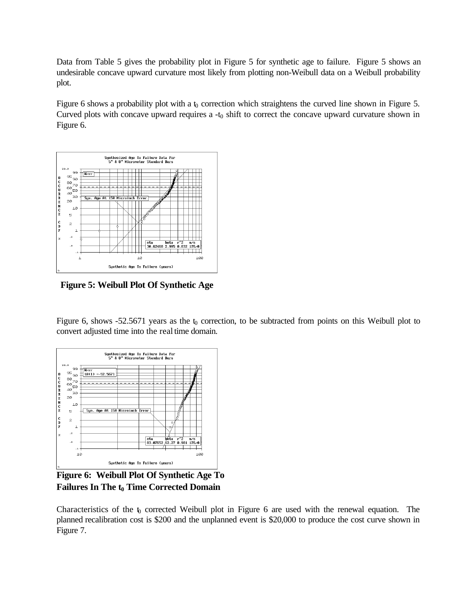Data from Table 5 gives the probability plot in Figure 5 for synthetic age to failure. Figure 5 shows an undesirable concave upward curvature most likely from plotting non-Weibull data on a Weibull probability plot.

Figure 6 shows a probability plot with a  $t_0$  correction which straightens the curved line shown in Figure 5. Curved plots with concave upward requires  $a - t_0$  shift to correct the concave upward curvature shown in Figure 6.



**Figure 5: Weibull Plot Of Synthetic Age**

Figure 6, shows -52.5671 years as the  $t_0$  correction, to be subtracted from points on this Weibull plot to convert adjusted time into the real time domain.



**Figure 6: Weibull Plot Of Synthetic Age To Failures In The t0 Time Corrected Domain**

Characteristics of the  $\mathfrak b$  corrected Weibull plot in Figure 6 are used with the renewal equation. The planned recalibration cost is \$200 and the unplanned event is \$20,000 to produce the cost curve shown in Figure 7.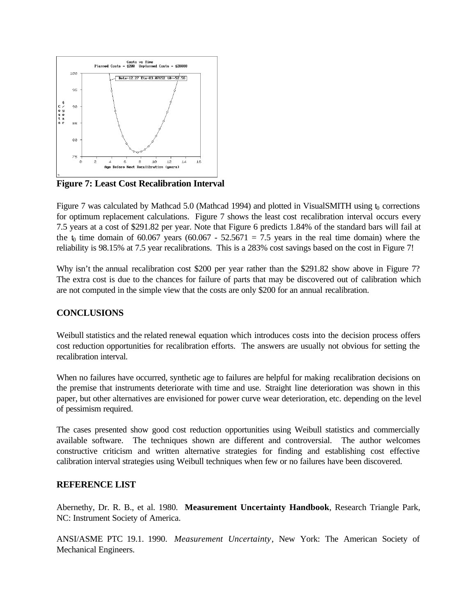

**Figure 7: Least Cost Recalibration Interval**

Figure 7 was calculated by Mathcad 5.0 (Mathcad 1994) and plotted in VisualSMITH using  $t_0$  corrections for optimum replacement calculations. Figure 7 shows the least cost recalibration interval occurs every 7.5 years at a cost of \$291.82 per year. Note that Figure 6 predicts 1.84% of the standard bars will fail at the  $t_0$  time domain of 60.067 years (60.067 - 52.5671 = 7.5 years in the real time domain) where the reliability is 98.15% at 7.5 year recalibrations. This is a 283% cost savings based on the cost in Figure 7!

Why isn't the annual recalibration cost \$200 per year rather than the \$291.82 show above in Figure 7? The extra cost is due to the chances for failure of parts that may be discovered out of calibration which are not computed in the simple view that the costs are only \$200 for an annual recalibration.

#### **CONCLUSIONS**

Weibull statistics and the related renewal equation which introduces costs into the decision process offers cost reduction opportunities for recalibration efforts. The answers are usually not obvious for setting the recalibration interval.

When no failures have occurred, synthetic age to failures are helpful for making recalibration decisions on the premise that instruments deteriorate with time and use. Straight line deterioration was shown in this paper, but other alternatives are envisioned for power curve wear deterioration, etc. depending on the level of pessimism required.

The cases presented show good cost reduction opportunities using Weibull statistics and commercially available software. The techniques shown are different and controversial. The author welcomes constructive criticism and written alternative strategies for finding and establishing cost effective calibration interval strategies using Weibull techniques when few or no failures have been discovered.

#### **REFERENCE LIST**

Abernethy, Dr. R. B., et al. 1980. **Measurement Uncertainty Handbook**, Research Triangle Park, NC: Instrument Society of America.

ANSI/ASME PTC 19.1. 1990. *Measurement Uncertainty*, New York: The American Society of Mechanical Engineers.